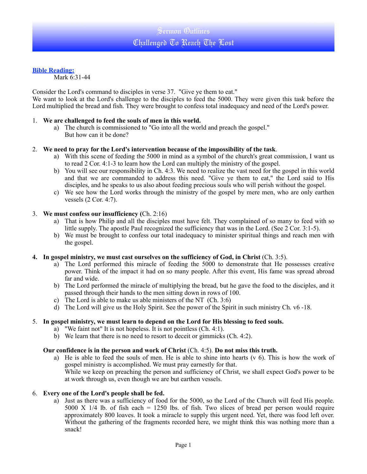### **Bible Reading:**

Mark 6:31-44

Consider the Lord's command to disciples in verse 37. "Give ye them to eat."

We want to look at the Lord's challenge to the disciples to feed the 5000. They were given this task before the Lord multiplied the bread and fish. They were brought to confess total inadequacy and need of the Lord's power.

#### 1. **We are challenged to feed the souls of men in this world.**

a) The church is commissioned to "Go into all the world and preach the gospel." But how can it be done?

#### 2. **We need to pray for the Lord's intervention because of the impossibility of the task**.

- a) With this scene of feeding the 5000 in mind as a symbol of the church's great commission, I want us to read 2 Cor. 4:1-3 to learn how the Lord can multiply the ministry of the gospel.
- b) You will see our responsibility in Ch. 4:3. We need to realize the vast need for the gospel in this world and that we are commanded to address this need. "Give ye them to eat," the Lord said to His disciples, and he speaks to us also about feeding precious souls who will perish without the gospel.
- c) We see how the Lord works through the ministry of the gospel by mere men, who are only earthen vessels (2 Cor. 4:7).

#### 3. **We must confess our insufficiency (**Ch. 2:16)

- a) That is how Philip and all the disciples must have felt. They complained of so many to feed with so little supply. The apostle Paul recognized the sufficiency that was in the Lord. (See 2 Cor. 3:1-5).
- b) We must be brought to confess our total inadequacy to minister spiritual things and reach men with the gospel.

#### **4.** In gospel ministry, we must cast ourselves on the sufficiency of God, in Christ (Ch. 3:5).

- a) The Lord performed this miracle of feeding the 5000 to demonstrate that He possesses creative power. Think of the impact it had on so many people. After this event, His fame was spread abroad far and wide.
- b) The Lord performed the miracle of multiplying the bread, but he gave the food to the disciples, and it passed through their hands to the men sitting down in rows of 100.
- c) The Lord is able to make us able ministers of the NT  $(Ch. 3:6)$
- d) The Lord will give us the Holy Spirit. See the power of the Spirit in such ministry Ch. v6 -18.

## 5. **In gospel ministry, we must learn to depend on the Lord for His blessing to feed souls.**

- a) "We faint not" It is not hopeless. It is not pointless (Ch. 4:1).
- b) We learn that there is no need to resort to deceit or gimmicks (Ch. 4:2).

#### **Our confidence is in the person and work of Christ** (Ch. 4:5). **Do not miss this truth.**

a) He is able to feed the souls of men. He is able to shine into hearts ( $v$  6). This is how the work of gospel ministry is accomplished. We must pray earnestly for that. While we keep on preaching the person and sufficiency of Christ, we shall expect God's power to be

at work through us, even though we are but earthen vessels.

#### 6. **Every one of the Lord's people shall be fed.**

a) Just as there was a sufficiency of food for the 5000, so the Lord of the Church will feed His people. 5000 X  $1/4$  lb. of fish each = 1250 lbs. of fish. Two slices of bread per person would require approximately 800 loaves. It took a miracle to supply this urgent need. Yet, there was food left over. Without the gathering of the fragments recorded here, we might think this was nothing more than a snack!